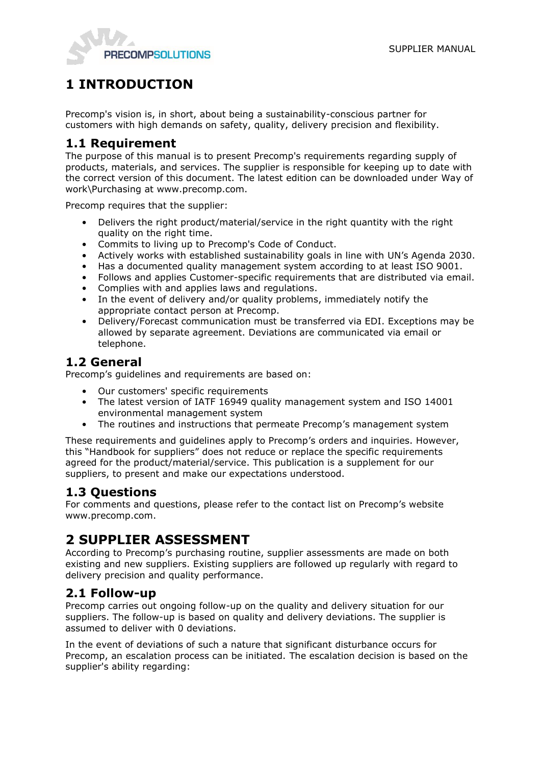

# **1 INTRODUCTION**

Precomp's vision is, in short, about being a sustainability-conscious partner for customers with high demands on safety, quality, delivery precision and flexibility.

#### **1.1 Requirement**

The purpose of this manual is to present Precomp's requirements regarding supply of products, materials, and services. The supplier is responsible for keeping up to date with the correct version of this document. The latest edition can be downloaded under Way of work\Purchasing at www.precomp.com.

Precomp requires that the supplier:

- Delivers the right product/material/service in the right quantity with the right quality on the right time.
- Commits to living up to Precomp's Code of Conduct.
- Actively works with established sustainability goals in line with UN's Agenda 2030.
- Has a documented quality management system according to at least ISO 9001.
- Follows and applies Customer-specific requirements that are distributed via email.
- Complies with and applies laws and regulations.
- In the event of delivery and/or quality problems, immediately notify the appropriate contact person at Precomp.
- Delivery/Forecast communication must be transferred via EDI. Exceptions may be allowed by separate agreement. Deviations are communicated via email or telephone.

## **1.2 General**

Precomp's guidelines and requirements are based on:

- Our customers' specific requirements
- The latest version of IATF 16949 quality management system and ISO 14001 environmental management system
- The routines and instructions that permeate Precomp's management system

These requirements and guidelines apply to Precomp's orders and inquiries. However, this "Handbook for suppliers" does not reduce or replace the specific requirements agreed for the product/material/service. This publication is a supplement for our suppliers, to present and make our expectations understood.

#### **1.3 Questions**

For comments and questions, please refer to the contact list on Precomp's website www.precomp.com.

## **2 SUPPLIER ASSESSMENT**

According to Precomp's purchasing routine, supplier assessments are made on both existing and new suppliers. Existing suppliers are followed up regularly with regard to delivery precision and quality performance.

## **2.1 Follow-up**

Precomp carries out ongoing follow-up on the quality and delivery situation for our suppliers. The follow-up is based on quality and delivery deviations. The supplier is assumed to deliver with 0 deviations.

In the event of deviations of such a nature that significant disturbance occurs for Precomp, an escalation process can be initiated. The escalation decision is based on the supplier's ability regarding: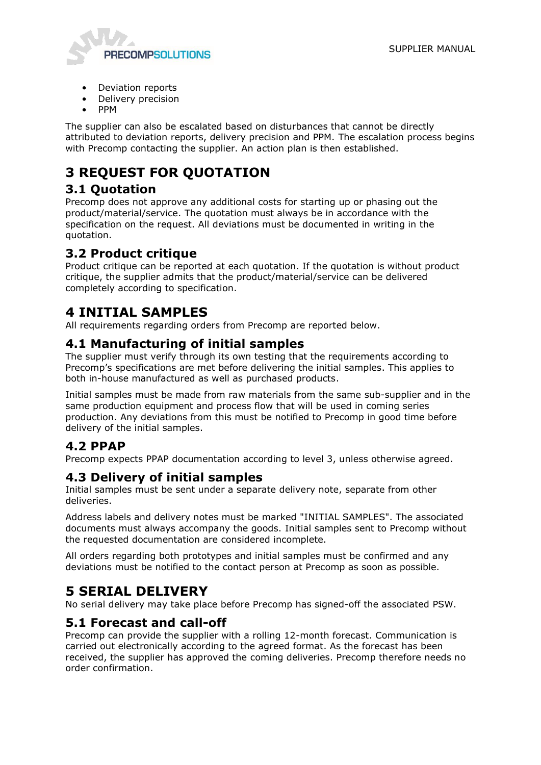

- Deviation reports
- Delivery precision
- PPM

The supplier can also be escalated based on disturbances that cannot be directly attributed to deviation reports, delivery precision and PPM. The escalation process begins with Precomp contacting the supplier. An action plan is then established.

# **3 REQUEST FOR QUOTATION**

## **3.1 Quotation**

Precomp does not approve any additional costs for starting up or phasing out the product/material/service. The quotation must always be in accordance with the specification on the request. All deviations must be documented in writing in the quotation.

## **3.2 Product critique**

Product critique can be reported at each quotation. If the quotation is without product critique, the supplier admits that the product/material/service can be delivered completely according to specification.

## **4 INITIAL SAMPLES**

All requirements regarding orders from Precomp are reported below.

## **4.1 Manufacturing of initial samples**

The supplier must verify through its own testing that the requirements according to Precomp's specifications are met before delivering the initial samples. This applies to both in-house manufactured as well as purchased products.

Initial samples must be made from raw materials from the same sub-supplier and in the same production equipment and process flow that will be used in coming series production. Any deviations from this must be notified to Precomp in good time before delivery of the initial samples.

## **4.2 PPAP**

Precomp expects PPAP documentation according to level 3, unless otherwise agreed.

#### **4.3 Delivery of initial samples**

Initial samples must be sent under a separate delivery note, separate from other deliveries.

Address labels and delivery notes must be marked "INITIAL SAMPLES". The associated documents must always accompany the goods. Initial samples sent to Precomp without the requested documentation are considered incomplete.

All orders regarding both prototypes and initial samples must be confirmed and any deviations must be notified to the contact person at Precomp as soon as possible.

## **5 SERIAL DELIVERY**

No serial delivery may take place before Precomp has signed-off the associated PSW.

## **5.1 Forecast and call-off**

Precomp can provide the supplier with a rolling 12-month forecast. Communication is carried out electronically according to the agreed format. As the forecast has been received, the supplier has approved the coming deliveries. Precomp therefore needs no order confirmation.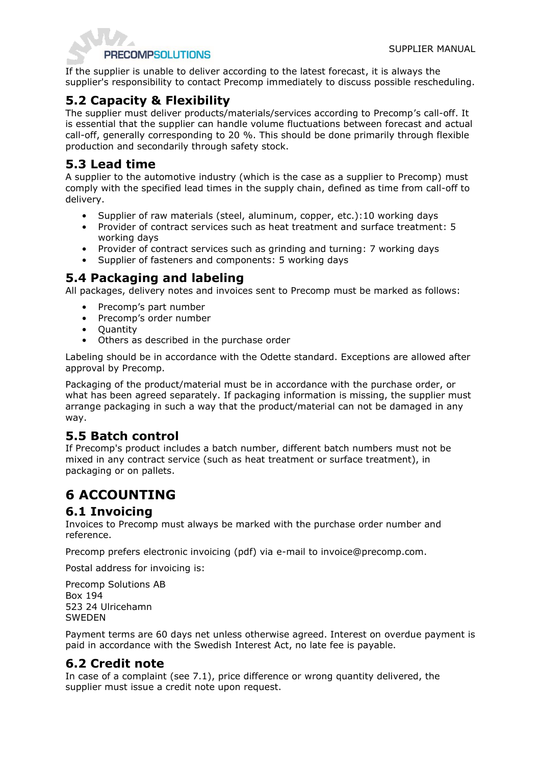

If the supplier is unable to deliver according to the latest forecast, it is always the supplier's responsibility to contact Precomp immediately to discuss possible rescheduling.

## **5.2 Capacity & Flexibility**

The supplier must deliver products/materials/services according to Precomp's call-off. It is essential that the supplier can handle volume fluctuations between forecast and actual call-off, generally corresponding to 20 %. This should be done primarily through flexible production and secondarily through safety stock.

## **5.3 Lead time**

A supplier to the automotive industry (which is the case as a supplier to Precomp) must comply with the specified lead times in the supply chain, defined as time from call-off to delivery.

- Supplier of raw materials (steel, aluminum, copper, etc.):10 working days
- Provider of contract services such as heat treatment and surface treatment: 5 working days
- Provider of contract services such as grinding and turning: 7 working days
- Supplier of fasteners and components: 5 working days

## **5.4 Packaging and labeling**

All packages, delivery notes and invoices sent to Precomp must be marked as follows:

- Precomp's part number
- Precomp's order number
- Quantity
- Others as described in the purchase order

Labeling should be in accordance with the Odette standard. Exceptions are allowed after approval by Precomp.

Packaging of the product/material must be in accordance with the purchase order, or what has been agreed separately. If packaging information is missing, the supplier must arrange packaging in such a way that the product/material can not be damaged in any way.

## **5.5 Batch control**

If Precomp's product includes a batch number, different batch numbers must not be mixed in any contract service (such as heat treatment or surface treatment), in packaging or on pallets.

# **6 ACCOUNTING**

#### **6.1 Invoicing**

Invoices to Precomp must always be marked with the purchase order number and reference.

Precomp prefers electronic invoicing (pdf) via e-mail to invoice@precomp.com.

Postal address for invoicing is:

Precomp Solutions AB Box 194 523 24 Ulricehamn SWEDEN

Payment terms are 60 days net unless otherwise agreed. Interest on overdue payment is paid in accordance with the Swedish Interest Act, no late fee is payable.

## **6.2 Credit note**

In case of a complaint (see 7.1), price difference or wrong quantity delivered, the supplier must issue a credit note upon request.